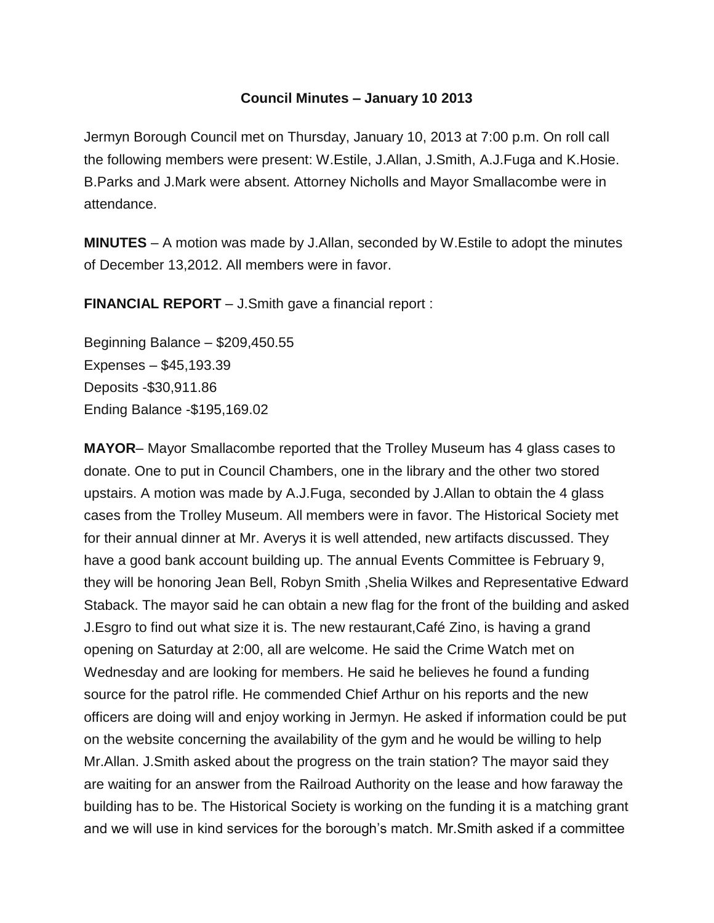## **Council Minutes – January 10 2013**

Jermyn Borough Council met on Thursday, January 10, 2013 at 7:00 p.m. On roll call the following members were present: W.Estile, J.Allan, J.Smith, A.J.Fuga and K.Hosie. B.Parks and J.Mark were absent. Attorney Nicholls and Mayor Smallacombe were in attendance.

**MINUTES** – A motion was made by J.Allan, seconded by W.Estile to adopt the minutes of December 13,2012. All members were in favor.

**FINANCIAL REPORT** – J.Smith gave a financial report :

Beginning Balance – \$209,450.55 Expenses – \$45,193.39 Deposits -\$30,911.86 Ending Balance -\$195,169.02

**MAYOR**– Mayor Smallacombe reported that the Trolley Museum has 4 glass cases to donate. One to put in Council Chambers, one in the library and the other two stored upstairs. A motion was made by A.J.Fuga, seconded by J.Allan to obtain the 4 glass cases from the Trolley Museum. All members were in favor. The Historical Society met for their annual dinner at Mr. Averys it is well attended, new artifacts discussed. They have a good bank account building up. The annual Events Committee is February 9, they will be honoring Jean Bell, Robyn Smith ,Shelia Wilkes and Representative Edward Staback. The mayor said he can obtain a new flag for the front of the building and asked J.Esgro to find out what size it is. The new restaurant,Café Zino, is having a grand opening on Saturday at 2:00, all are welcome. He said the Crime Watch met on Wednesday and are looking for members. He said he believes he found a funding source for the patrol rifle. He commended Chief Arthur on his reports and the new officers are doing will and enjoy working in Jermyn. He asked if information could be put on the website concerning the availability of the gym and he would be willing to help Mr.Allan. J.Smith asked about the progress on the train station? The mayor said they are waiting for an answer from the Railroad Authority on the lease and how faraway the building has to be. The Historical Society is working on the funding it is a matching grant and we will use in kind services for the borough's match. Mr.Smith asked if a committee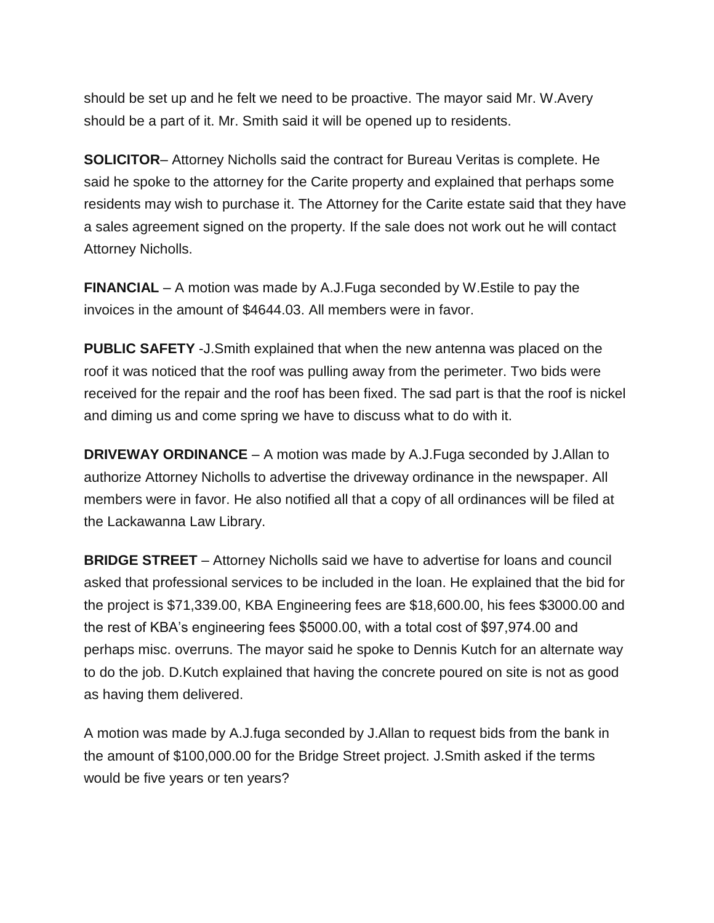should be set up and he felt we need to be proactive. The mayor said Mr. W.Avery should be a part of it. Mr. Smith said it will be opened up to residents.

**SOLICITOR**– Attorney Nicholls said the contract for Bureau Veritas is complete. He said he spoke to the attorney for the Carite property and explained that perhaps some residents may wish to purchase it. The Attorney for the Carite estate said that they have a sales agreement signed on the property. If the sale does not work out he will contact Attorney Nicholls.

**FINANCIAL** – A motion was made by A.J.Fuga seconded by W.Estile to pay the invoices in the amount of \$4644.03. All members were in favor.

**PUBLIC SAFETY** -J.Smith explained that when the new antenna was placed on the roof it was noticed that the roof was pulling away from the perimeter. Two bids were received for the repair and the roof has been fixed. The sad part is that the roof is nickel and diming us and come spring we have to discuss what to do with it.

**DRIVEWAY ORDINANCE** – A motion was made by A.J.Fuga seconded by J.Allan to authorize Attorney Nicholls to advertise the driveway ordinance in the newspaper. All members were in favor. He also notified all that a copy of all ordinances will be filed at the Lackawanna Law Library.

**BRIDGE STREET** – Attorney Nicholls said we have to advertise for loans and council asked that professional services to be included in the loan. He explained that the bid for the project is \$71,339.00, KBA Engineering fees are \$18,600.00, his fees \$3000.00 and the rest of KBA's engineering fees \$5000.00, with a total cost of \$97,974.00 and perhaps misc. overruns. The mayor said he spoke to Dennis Kutch for an alternate way to do the job. D.Kutch explained that having the concrete poured on site is not as good as having them delivered.

A motion was made by A.J.fuga seconded by J.Allan to request bids from the bank in the amount of \$100,000.00 for the Bridge Street project. J.Smith asked if the terms would be five years or ten years?